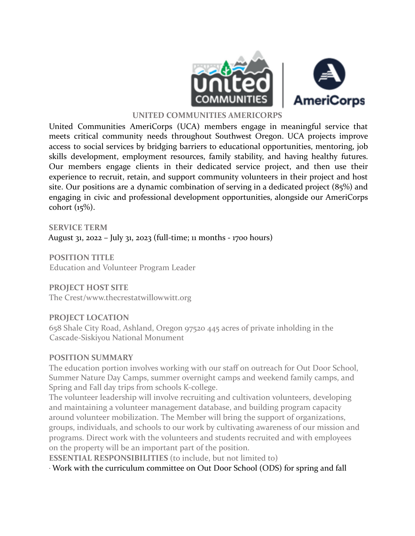

#### **UNITED COMMUNITIES AMERICORPS**

United Communities AmeriCorps (UCA) members engage in meaningful service that meets critical community needs throughout Southwest Oregon. UCA projects improve access to social services by bridging barriers to educational opportunities, mentoring, job skills development, employment resources, family stability, and having healthy futures. Our members engage clients in their dedicated service project, and then use their experience to recruit, retain, and support community volunteers in their project and host site. Our positions are a dynamic combination of serving in a dedicated project (85%) and engaging in civic and professional development opportunities, alongside our AmeriCorps cohort (15%).

**SERVICE TERM** August 31, 2022 – July 31, 2023 (full-time; 11 months - 1700 hours)

**POSITION TITLE** Education and Volunteer Program Leader

## **PROJECT HOST SITE**

The Crest/www.thecrestatwillowwitt.org

#### **PROJECT LOCATION**

658 Shale City Road, Ashland, Oregon 97520 445 acres of private inholding in the Cascade-Siskiyou National Monument

#### **POSITION SUMMARY**

The education portion involves working with our staff on outreach for Out Door School, Summer Nature Day Camps, summer overnight camps and weekend family camps, and Spring and Fall day trips from schools K-college.

The volunteer leadership will involve recruiting and cultivation volunteers, developing and maintaining a volunteer management database, and building program capacity around volunteer mobilization. The Member will bring the support of organizations, groups, individuals, and schools to our work by cultivating awareness of our mission and programs. Direct work with the volunteers and students recruited and with employees on the property will be an important part of the position.

**ESSENTIAL RESPONSIBILITIES** (to include, but not limited to)

∙ Work with the curriculum committee on Out Door School (ODS) for spring and fall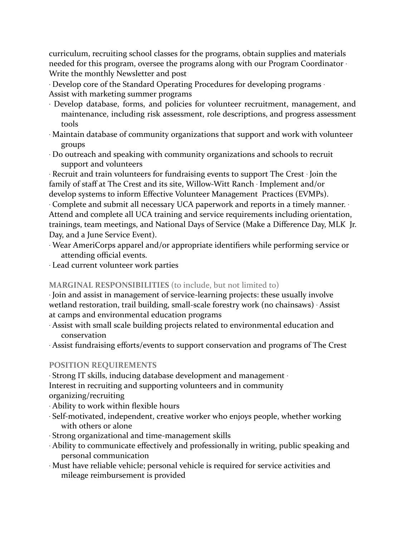curriculum, recruiting school classes for the programs, obtain supplies and materials needed for this program, oversee the programs along with our Program Coordinator ∙ Write the monthly Newsletter and post

∙ Develop core of the Standard Operating Procedures for developing programs ∙ Assist with marketing summer programs

- ∙ Develop database, forms, and policies for volunteer recruitment, management, and maintenance, including risk assessment, role descriptions, and progress assessment tools
- ∙ Maintain database of community organizations that support and work with volunteer groups
- ∙ Do outreach and speaking with community organizations and schools to recruit support and volunteers

∙ Recruit and train volunteers for fundraising events to support The Crest ∙ Join the family of staff at The Crest and its site, Willow-Witt Ranch ∙ Implement and/or develop systems to inform Effective Volunteer Management Practices (EVMPs).

∙ Complete and submit all necessary UCA paperwork and reports in a timely manner. ∙ Attend and complete all UCA training and service requirements including orientation, trainings, team meetings, and National Days of Service (Make a Difference Day, MLK Jr. Day, and a June Service Event).

- ∙ Wear AmeriCorps apparel and/or appropriate identifiers while performing service or attending official events.
- ∙ Lead current volunteer work parties

## **MARGINAL RESPONSIBILITIES** (to include, but not limited to)

∙ Join and assist in management of service-learning projects: these usually involve wetland restoration, trail building, small-scale forestry work (no chainsaws) ∙ Assist at camps and environmental education programs

- ∙ Assist with small scale building projects related to environmental education and conservation
- ∙ Assist fundraising efforts/events to support conservation and programs of The Crest

## **POSITION REQUIREMENTS**

∙ Strong IT skills, inducing database development and management ∙ Interest in recruiting and supporting volunteers and in community organizing/recruiting

- ∙ Ability to work within flexible hours
- ∙ Self-motivated, independent, creative worker who enjoys people, whether working with others or alone
- ∙ Strong organizational and time-management skills
- ∙ Ability to communicate effectively and professionally in writing, public speaking and personal communication
- ∙ Must have reliable vehicle; personal vehicle is required for service activities and mileage reimbursement is provided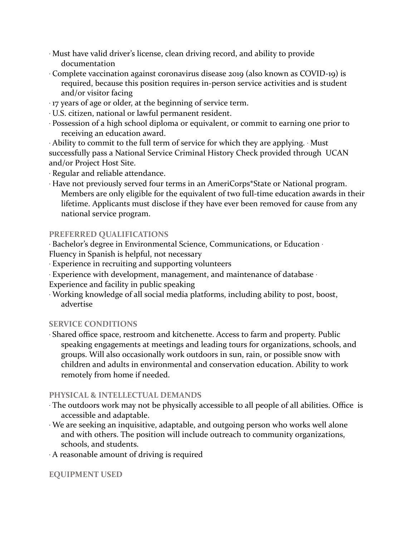- ∙ Must have valid driver's license, clean driving record, and ability to provide documentation
- ∙ Complete vaccination against coronavirus disease 2019 (also known as COVID-19) is required, because this position requires in-person service activities and is student and/or visitor facing
- ∙ 17 years of age or older, at the beginning of service term.
- ∙ U.S. citizen, national or lawful permanent resident.
- ∙ Possession of a high school diploma or equivalent, or commit to earning one prior to receiving an education award.

∙ Ability to commit to the full term of service for which they are applying. ∙ Must successfully pass a National Service Criminal History Check provided through UCAN and/or Project Host Site.

∙ Regular and reliable attendance.

∙ Have not previously served four terms in an AmeriCorps\*State or National program. Members are only eligible for the equivalent of two full-time education awards in their lifetime. Applicants must disclose if they have ever been removed for cause from any national service program.

## **PREFERRED QUALIFICATIONS**

∙ Bachelor's degree in Environmental Science, Communications, or Education ∙

Fluency in Spanish is helpful, not necessary

- ∙ Experience in recruiting and supporting volunteers
- ∙ Experience with development, management, and maintenance of database ∙

Experience and facility in public speaking

∙ Working knowledge of all social media platforms, including ability to post, boost, advertise

# **SERVICE CONDITIONS**

∙ Shared office space, restroom and kitchenette. Access to farm and property. Public speaking engagements at meetings and leading tours for organizations, schools, and groups. Will also occasionally work outdoors in sun, rain, or possible snow with children and adults in environmental and conservation education. Ability to work remotely from home if needed.

# **PHYSICAL & INTELLECTUAL DEMANDS**

- ∙ The outdoors work may not be physically accessible to all people of all abilities. Office is accessible and adaptable.
- ∙ We are seeking an inquisitive, adaptable, and outgoing person who works well alone and with others. The position will include outreach to community organizations, schools, and students.
- ∙ A reasonable amount of driving is required

## **EQUIPMENT USED**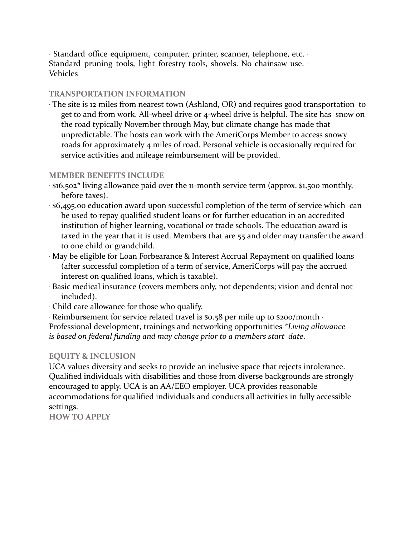∙ Standard office equipment, computer, printer, scanner, telephone, etc. ∙ Standard pruning tools, light forestry tools, shovels. No chainsaw use. ∙ Vehicles

#### **TRANSPORTATION INFORMATION**

∙ The site is 12 miles from nearest town (Ashland, OR) and requires good transportation to get to and from work. All-wheel drive or 4-wheel drive is helpful. The site has snow on the road typically November through May, but climate change has made that unpredictable. The hosts can work with the AmeriCorps Member to access snowy roads for approximately 4 miles of road. Personal vehicle is occasionally required for service activities and mileage reimbursement will be provided.

#### **MEMBER BENEFITS INCLUDE**

- ∙ \$16,502\* living allowance paid over the 11-month service term (approx. \$1,500 monthly, before taxes).
- ∙ \$6,495.00 education award upon successful completion of the term of service which can be used to repay qualified student loans or for further education in an accredited institution of higher learning, vocational or trade schools. The education award is taxed in the year that it is used. Members that are 55 and older may transfer the award to one child or grandchild.
- ∙ May be eligible for Loan Forbearance & Interest Accrual Repayment on qualified loans (after successful completion of a term of service, AmeriCorps will pay the accrued interest on qualified loans, which is taxable).
- ∙ Basic medical insurance (covers members only, not dependents; vision and dental not included).
- ∙ Child care allowance for those who qualify.
- ∙ Reimbursement for service related travel is \$0.58 per mile up to \$200/month ∙

Professional development, trainings and networking opportunities *\*Living allowance is based on federal funding and may change prior to a members start date*.

## **EQUITY & INCLUSION**

UCA values diversity and seeks to provide an inclusive space that rejects intolerance. Qualified individuals with disabilities and those from diverse backgrounds are strongly encouraged to apply. UCA is an AA/EEO employer. UCA provides reasonable accommodations for qualified individuals and conducts all activities in fully accessible settings.

**HOW TO APPLY**